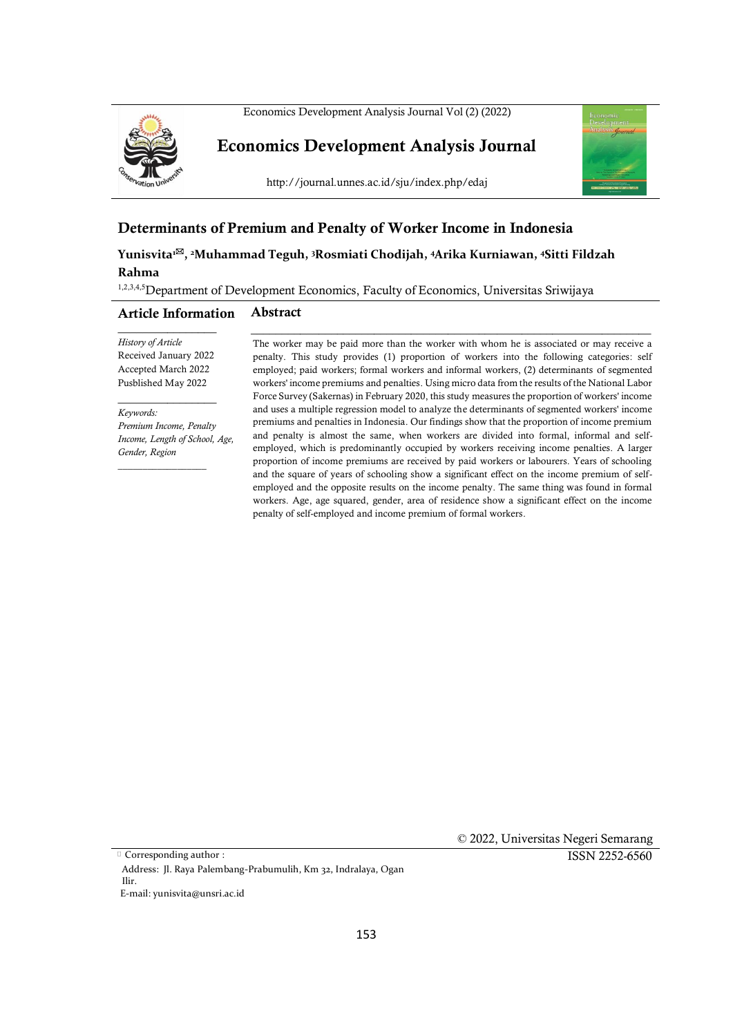Economics Development Analysis Journal Vol (2) (2022)



**Economics Development Analysis Journal**



http://journal.unnes.ac.id/sju/index.php/edaj

# **Determinants of Premium and Penalty of Worker Income in Indonesia**

**Yunisvita<sup>1</sup>, <sup>2</sup>Muhammad Teguh, <sup>3</sup>Rosmiati Chodijah, <sup>4</sup>Arika Kurniawan, <sup>4</sup>Sitti Fildzah Rahma**

1,2,3,4,5 Department of Development Economics, Faculty of Economics, Universitas Sriwijaya

#### **Article Information Abstract**

 $\overline{\phantom{a}}$  , where  $\overline{\phantom{a}}$ *History of Article* Received January 2022 Accepted March 2022 Pusblished May 2022

\_\_\_\_\_\_\_\_\_\_\_\_\_\_\_\_

 $\overline{\phantom{a}}$  , where  $\overline{\phantom{a}}$ 

*Keywords: Premium Income, Penalty Income, Length of School, Age, Gender, Region*

The worker may be paid more than the worker with whom he is associated or may receive a penalty. This study provides (1) proportion of workers into the following categories: self employed; paid workers; formal workers and informal workers, (2) determinants of segmented workers' income premiums and penalties. Using micro data from the results of the National Labor Force Survey (Sakernas) in February 2020, this study measures the proportion of workers' income and uses a multiple regression model to analyze the determinants of segmented workers' income premiums and penalties in Indonesia. Our findings show that the proportion of income premium and penalty is almost the same, when workers are divided into formal, informal and selfemployed, which is predominantly occupied by workers receiving income penalties. A larger proportion of income premiums are received by paid workers or labourers. Years of schooling and the square of years of schooling show a significant effect on the income premium of selfemployed and the opposite results on the income penalty. The same thing was found in formal workers. Age, age squared, gender, area of residence show a significant effect on the income penalty of self-employed and income premium of formal workers.

\_\_\_\_\_\_\_\_\_\_\_\_\_\_\_\_\_\_\_\_\_\_\_\_\_\_\_\_\_\_\_\_\_\_\_\_\_\_\_\_\_\_\_\_\_\_\_\_\_\_\_\_\_\_\_\_\_\_\_\_\_\_\_\_\_

Corresponding author :

 © 2022, Universitas Negeri Semarang ISSN 2252-6560

Address: Jl. Raya Palembang-Prabumulih, Km 32, Indralaya, Ogan Ilir.

E-mail: yunisvita@unsri.ac.id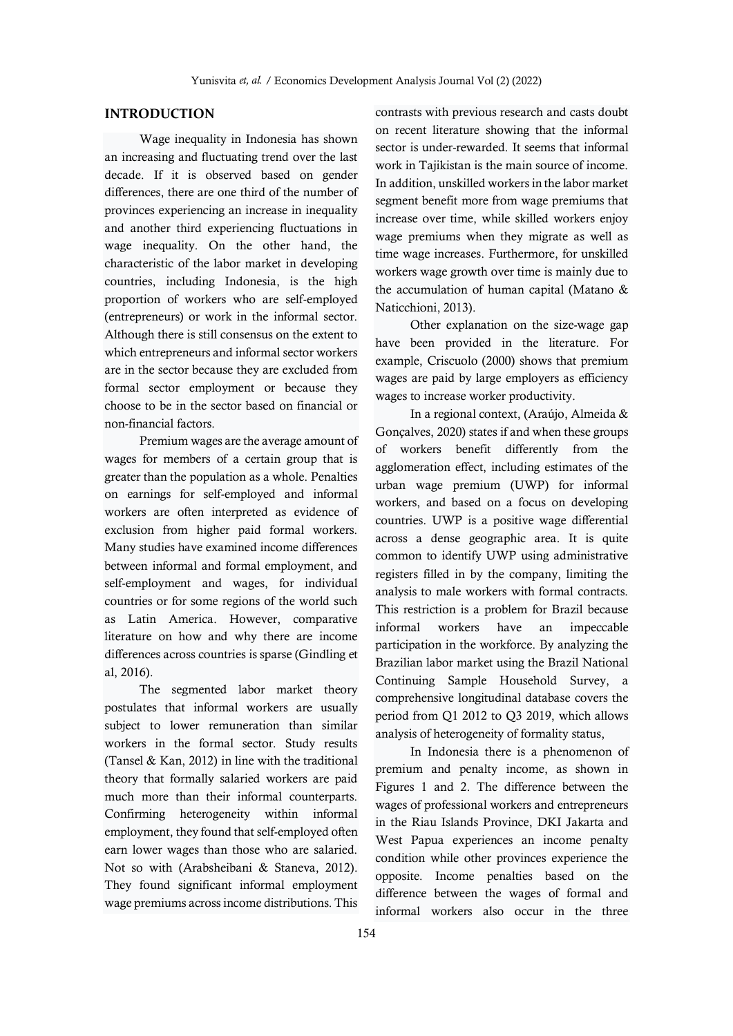# **INTRODUCTION**

Wage inequality in Indonesia has shown an increasing and fluctuating trend over the last decade. If it is observed based on gender differences, there are one third of the number of provinces experiencing an increase in inequality and another third experiencing fluctuations in wage inequality. On the other hand, the characteristic of the labor market in developing countries, including Indonesia, is the high proportion of workers who are self-employed (entrepreneurs) or work in the informal sector. Although there is still consensus on the extent to which entrepreneurs and informal sector workers are in the sector because they are excluded from formal sector employment or because they choose to be in the sector based on financial or non-financial factors.

Premium wages are the average amount of wages for members of a certain group that is greater than the population as a whole. Penalties on earnings for self-employed and informal workers are often interpreted as evidence of exclusion from higher paid formal workers. Many studies have examined income differences between informal and formal employment, and self-employment and wages, for individual countries or for some regions of the world such as Latin America. However, comparative literature on how and why there are income differences across countries is sparse (Gindling et al, 2016).

The segmented labor market theory postulates that informal workers are usually subject to lower remuneration than similar workers in the formal sector. Study results (Tansel & Kan, 2012) in line with the traditional theory that formally salaried workers are paid much more than their informal counterparts. Confirming heterogeneity within informal employment, they found that self-employed often earn lower wages than those who are salaried. Not so with (Arabsheibani & Staneva, 2012). They found significant informal employment wage premiums across income distributions. This

contrasts with previous research and casts doubt on recent literature showing that the informal sector is under-rewarded. It seems that informal work in Tajikistan is the main source of income. In addition, unskilled workers in the labor market segment benefit more from wage premiums that increase over time, while skilled workers enjoy wage premiums when they migrate as well as time wage increases. Furthermore, for unskilled workers wage growth over time is mainly due to the accumulation of human capital (Matano & Naticchioni, 2013).

Other explanation on the size-wage gap have been provided in the literature. For example, Criscuolo (2000) shows that premium wages are paid by large employers as efficiency wages to increase worker productivity.

In a regional context, (Araújo, Almeida & Gonçalves, 2020) states if and when these groups of workers benefit differently from the agglomeration effect, including estimates of the urban wage premium (UWP) for informal workers, and based on a focus on developing countries. UWP is a positive wage differential across a dense geographic area. It is quite common to identify UWP using administrative registers filled in by the company, limiting the analysis to male workers with formal contracts. This restriction is a problem for Brazil because informal workers have an impeccable participation in the workforce. By analyzing the Brazilian labor market using the Brazil National Continuing Sample Household Survey, a comprehensive longitudinal database covers the period from Q1 2012 to Q3 2019, which allows analysis of heterogeneity of formality status,

In Indonesia there is a phenomenon of premium and penalty income, as shown in Figures 1 and 2. The difference between the wages of professional workers and entrepreneurs in the Riau Islands Province, DKI Jakarta and West Papua experiences an income penalty condition while other provinces experience the opposite. Income penalties based on the difference between the wages of formal and informal workers also occur in the three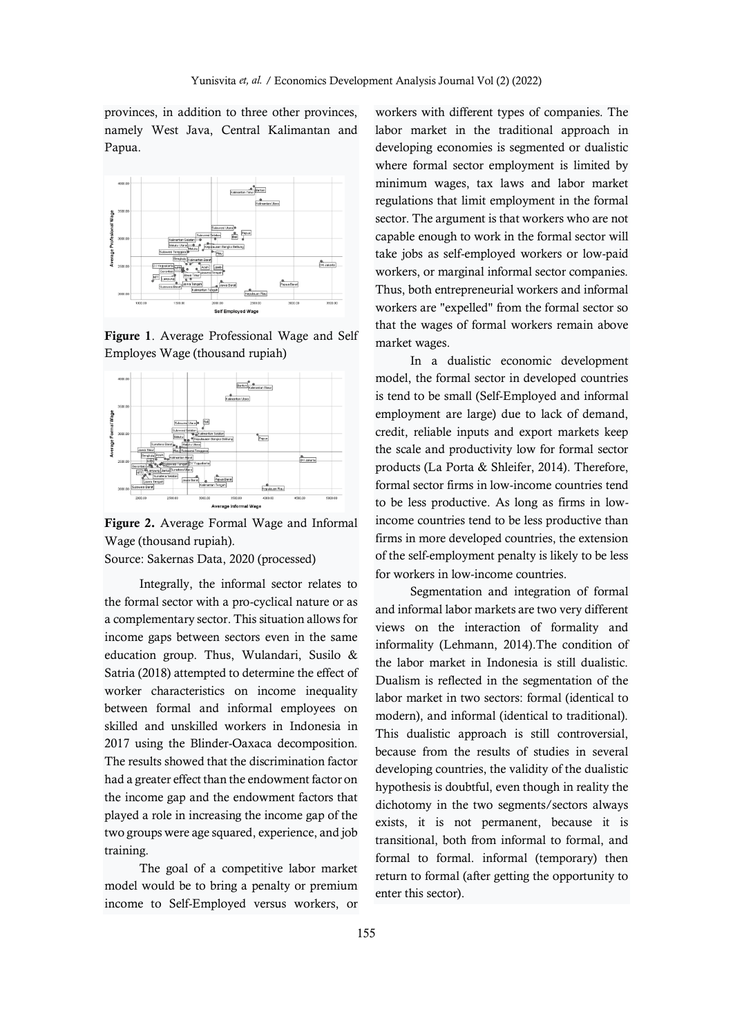provinces, in addition to three other provinces, namely West Java, Central Kalimantan and Papua.



**Figure 1**. Average Professional Wage and Self Employes Wage (thousand rupiah)



**Figure 2.** Average Formal Wage and Informal Wage (thousand rupiah).

Source: Sakernas Data, 2020 (processed)

Integrally, the informal sector relates to the formal sector with a pro-cyclical nature or as a complementary sector. This situation allows for income gaps between sectors even in the same education group. Thus, Wulandari, Susilo & Satria (2018) attempted to determine the effect of worker characteristics on income inequality between formal and informal employees on skilled and unskilled workers in Indonesia in 2017 using the Blinder-Oaxaca decomposition. The results showed that the discrimination factor had a greater effect than the endowment factor on the income gap and the endowment factors that played a role in increasing the income gap of the two groups were age squared, experience, and job training.

The goal of a competitive labor market model would be to bring a penalty or premium income to Self-Employed versus workers, or

workers with different types of companies. The labor market in the traditional approach in developing economies is segmented or dualistic where formal sector employment is limited by minimum wages, tax laws and labor market regulations that limit employment in the formal sector. The argument is that workers who are not capable enough to work in the formal sector will take jobs as self-employed workers or low-paid workers, or marginal informal sector companies. Thus, both entrepreneurial workers and informal workers are "expelled" from the formal sector so that the wages of formal workers remain above market wages.

In a dualistic economic development model, the formal sector in developed countries is tend to be small (Self-Employed and informal employment are large) due to lack of demand, credit, reliable inputs and export markets keep the scale and productivity low for formal sector products (La Porta & Shleifer, 2014). Therefore, formal sector firms in low-income countries tend to be less productive. As long as firms in lowincome countries tend to be less productive than firms in more developed countries, the extension of the self-employment penalty is likely to be less for workers in low-income countries.

Segmentation and integration of formal and informal labor markets are two very different views on the interaction of formality and informality (Lehmann, 2014).The condition of the labor market in Indonesia is still dualistic. Dualism is reflected in the segmentation of the labor market in two sectors: formal (identical to modern), and informal (identical to traditional). This dualistic approach is still controversial, because from the results of studies in several developing countries, the validity of the dualistic hypothesis is doubtful, even though in reality the dichotomy in the two segments/sectors always exists, it is not permanent, because it is transitional, both from informal to formal, and formal to formal. informal (temporary) then return to formal (after getting the opportunity to enter this sector).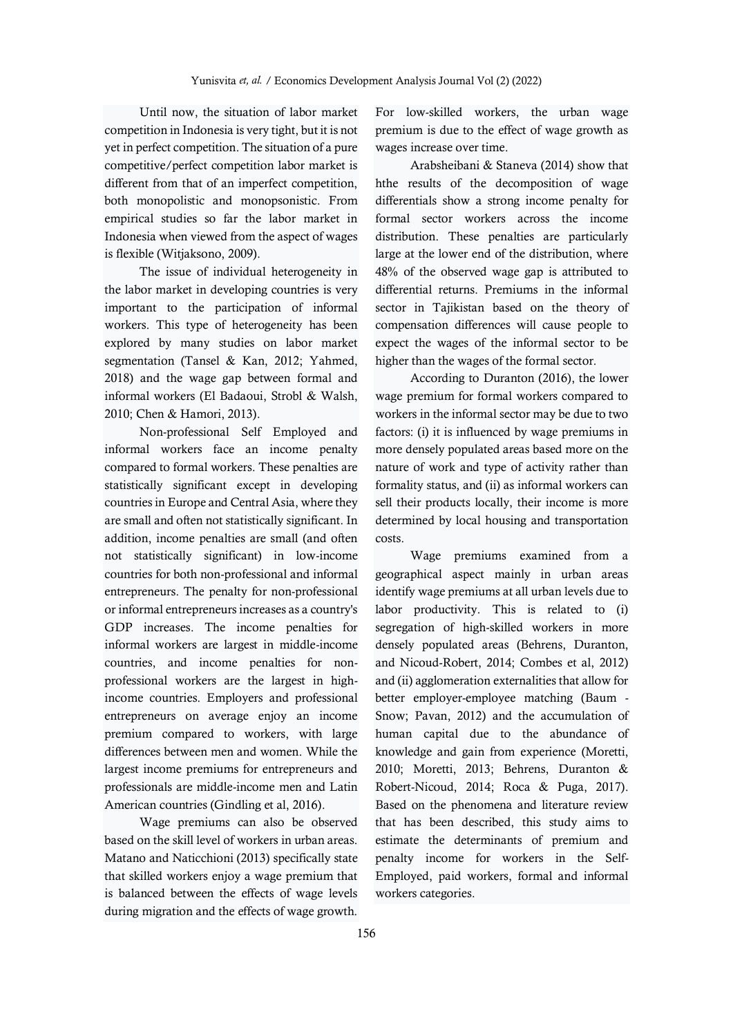Until now, the situation of labor market competition in Indonesia is very tight, but it is not yet in perfect competition. The situation of a pure competitive/perfect competition labor market is different from that of an imperfect competition, both monopolistic and monopsonistic. From empirical studies so far the labor market in Indonesia when viewed from the aspect of wages is flexible (Witjaksono, 2009).

The issue of individual heterogeneity in the labor market in developing countries is very important to the participation of informal workers. This type of heterogeneity has been explored by many studies on labor market segmentation (Tansel & Kan, 2012; Yahmed, 2018) and the wage gap between formal and informal workers (El Badaoui, Strobl & Walsh, 2010; Chen & Hamori, 2013).

Non-professional Self Employed and informal workers face an income penalty compared to formal workers. These penalties are statistically significant except in developing countries in Europe and Central Asia, where they are small and often not statistically significant. In addition, income penalties are small (and often not statistically significant) in low-income countries for both non-professional and informal entrepreneurs. The penalty for non-professional or informal entrepreneurs increases as a country's GDP increases. The income penalties for informal workers are largest in middle-income countries, and income penalties for nonprofessional workers are the largest in highincome countries. Employers and professional entrepreneurs on average enjoy an income premium compared to workers, with large differences between men and women. While the largest income premiums for entrepreneurs and professionals are middle-income men and Latin American countries (Gindling et al, 2016).

Wage premiums can also be observed based on the skill level of workers in urban areas. Matano and Naticchioni (2013) specifically state that skilled workers enjoy a wage premium that is balanced between the effects of wage levels during migration and the effects of wage growth.

For low-skilled workers, the urban wage premium is due to the effect of wage growth as wages increase over time.

Arabsheibani & Staneva (2014) show that hthe results of the decomposition of wage differentials show a strong income penalty for formal sector workers across the income distribution. These penalties are particularly large at the lower end of the distribution, where 48% of the observed wage gap is attributed to differential returns. Premiums in the informal sector in Tajikistan based on the theory of compensation differences will cause people to expect the wages of the informal sector to be higher than the wages of the formal sector.

According to Duranton (2016), the lower wage premium for formal workers compared to workers in the informal sector may be due to two factors: (i) it is influenced by wage premiums in more densely populated areas based more on the nature of work and type of activity rather than formality status, and (ii) as informal workers can sell their products locally, their income is more determined by local housing and transportation costs.

Wage premiums examined from a geographical aspect mainly in urban areas identify wage premiums at all urban levels due to labor productivity. This is related to (i) segregation of high-skilled workers in more densely populated areas (Behrens, Duranton, and Nicoud-Robert, 2014; Combes et al, 2012) and (ii) agglomeration externalities that allow for better employer-employee matching (Baum - Snow; Pavan, 2012) and the accumulation of human capital due to the abundance of knowledge and gain from experience (Moretti, 2010; Moretti, 2013; Behrens, Duranton & Robert-Nicoud, 2014; Roca & Puga, 2017). Based on the phenomena and literature review that has been described, this study aims to estimate the determinants of premium and penalty income for workers in the Self-Employed, paid workers, formal and informal workers categories.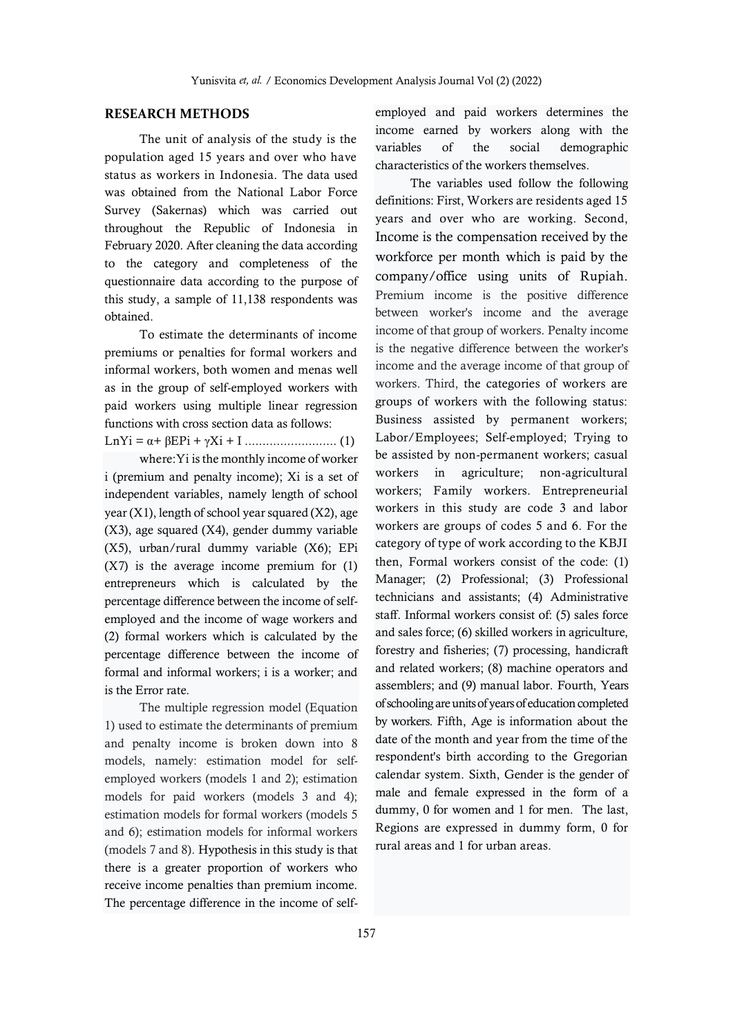## **RESEARCH METHODS**

The unit of analysis of the study is the population aged 15 years and over who have status as workers in Indonesia. The data used was obtained from the National Labor Force Survey (Sakernas) which was carried out throughout the Republic of Indonesia in February 2020. After cleaning the data according to the category and completeness of the questionnaire data according to the purpose of this study, a sample of 11,138 respondents was obtained.

To estimate the determinants of income premiums or penalties for formal workers and informal workers, both women and menas well as in the group of self-employed workers with paid workers using multiple linear regression functions with cross section data as follows:

LnYi = α+ βEPi + γXi + I .......................... (1)

where:Yi is the monthly income of worker i (premium and penalty income); Xi is a set of independent variables, namely length of school year (X1), length of school year squared (X2), age (X3), age squared (X4), gender dummy variable (X5), urban/rural dummy variable (X6); EPi (X7) is the average income premium for (1) entrepreneurs which is calculated by the percentage difference between the income of selfemployed and the income of wage workers and (2) formal workers which is calculated by the percentage difference between the income of formal and informal workers; i is a worker; and is the Error rate.

The multiple regression model (Equation 1) used to estimate the determinants of premium and penalty income is broken down into 8 models, namely: estimation model for selfemployed workers (models 1 and 2); estimation models for paid workers (models 3 and 4); estimation models for formal workers (models 5 and 6); estimation models for informal workers (models 7 and 8). Hypothesis in this study is that there is a greater proportion of workers who receive income penalties than premium income. The percentage difference in the income of selfemployed and paid workers determines the income earned by workers along with the variables of the social demographic characteristics of the workers themselves.

The variables used follow the following definitions: First, Workers are residents aged 15 years and over who are working. Second, Income is the compensation received by the workforce per month which is paid by the company/office using units of Rupiah. Premium income is the positive difference between worker's income and the average income of that group of workers. Penalty income is the negative difference between the worker's income and the average income of that group of workers. Third, the categories of workers are groups of workers with the following status: Business assisted by permanent workers; Labor/Employees; Self-employed; Trying to be assisted by non-permanent workers; casual workers in agriculture; non-agricultural workers; Family workers. Entrepreneurial workers in this study are code 3 and labor workers are groups of codes 5 and 6. For the category of type of work according to the KBJI then, Formal workers consist of the code: (1) Manager; (2) Professional; (3) Professional technicians and assistants; (4) Administrative staff. Informal workers consist of: (5) sales force and sales force; (6) skilled workers in agriculture, forestry and fisheries; (7) processing, handicraft and related workers; (8) machine operators and assemblers; and (9) manual labor. Fourth, Years of schooling are units of years of education completed by workers. Fifth, Age is information about the date of the month and year from the time of the respondent's birth according to the Gregorian calendar system. Sixth, Gender is the gender of male and female expressed in the form of a dummy, 0 for women and 1 for men. The last, Regions are expressed in dummy form, 0 for rural areas and 1 for urban areas.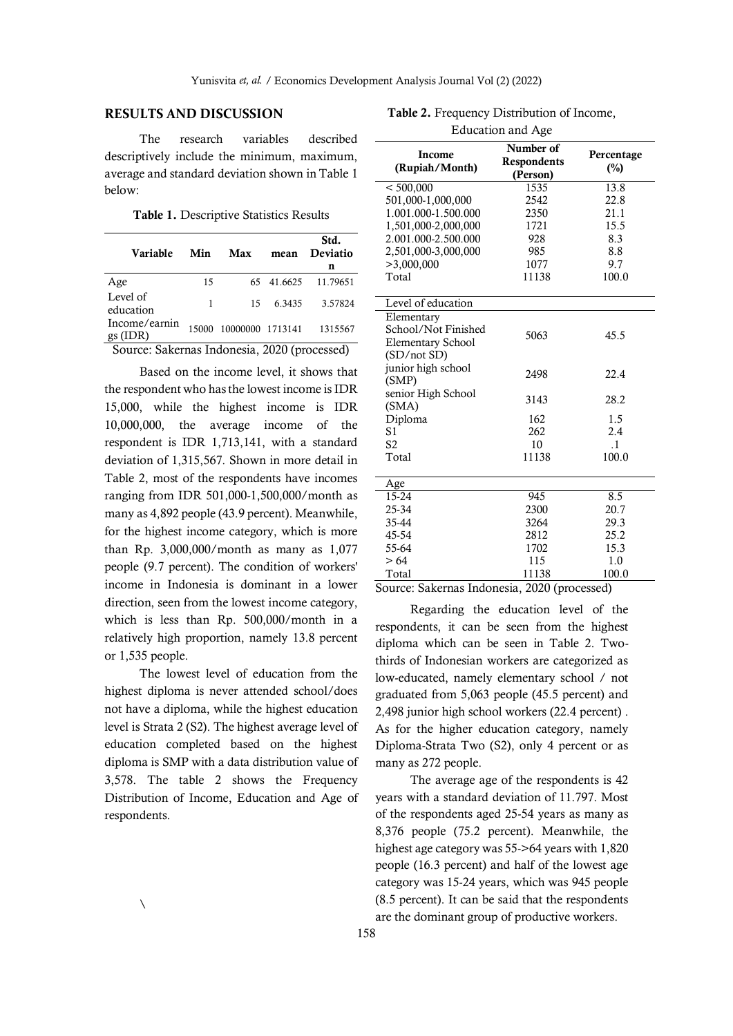### **RESULTS AND DISCUSSION**

The research variables described descriptively include the minimum, maximum, average and standard deviation shown in Table 1 below:

**Table 1.** Descriptive Statistics Results

| Variable                                     | Min   | Max              | mean    | Std.<br>Deviatio |
|----------------------------------------------|-------|------------------|---------|------------------|
|                                              |       |                  |         | n                |
| Age                                          | 15    | 65               | 41.6625 | 11.79651         |
| Level of                                     | 1     | 15               | 6.3435  | 3.57824          |
| education                                    |       |                  |         |                  |
| Income/earnin                                | 15000 | 10000000 1713141 |         | 1315567          |
| $gs$ (IDR)                                   |       |                  |         |                  |
| Source: Sakernas Indonesia, 2020 (processed) |       |                  |         |                  |

Based on the income level, it shows that the respondent who has the lowest income is IDR 15,000, while the highest income is IDR 10,000,000, the average income of the respondent is IDR 1,713,141, with a standard deviation of 1,315,567. Shown in more detail in Table 2, most of the respondents have incomes ranging from IDR 501,000-1,500,000/month as many as 4,892 people (43.9 percent). Meanwhile, for the highest income category, which is more than Rp. 3,000,000/month as many as 1,077 people (9.7 percent). The condition of workers' income in Indonesia is dominant in a lower direction, seen from the lowest income category, which is less than Rp. 500,000/month in a relatively high proportion, namely 13.8 percent or 1,535 people.

The lowest level of education from the highest diploma is never attended school/does not have a diploma, while the highest education level is Strata 2 (S2). The highest average level of education completed based on the highest diploma is SMP with a data distribution value of 3,578. The table 2 shows the Frequency Distribution of Income, Education and Age of respondents.

|                                                                                          | Education and Age |  |  |  |
|------------------------------------------------------------------------------------------|-------------------|--|--|--|
| Number of<br>Income<br>Percentage<br>Respondents<br>(Rupiah/Month)<br>$(\%)$<br>(Person) |                   |  |  |  |
| < 500,000<br>13.8<br>1535                                                                |                   |  |  |  |
| 501,000-1,000,000<br>2542<br>22.8                                                        |                   |  |  |  |
| 1.001.000-1.500.000<br>21.1<br>2350                                                      |                   |  |  |  |
| 1,501,000-2,000,000<br>15.5<br>1721                                                      |                   |  |  |  |
| 2.001.000-2.500.000<br>928<br>8.3                                                        |                   |  |  |  |
| 2,501,000-3,000,000<br>8.8<br>985                                                        |                   |  |  |  |
| >3,000,000<br>9.7<br>1077                                                                |                   |  |  |  |
| Total<br>11138<br>100.0                                                                  |                   |  |  |  |
| Level of education                                                                       |                   |  |  |  |
| Elementary                                                                               |                   |  |  |  |
| School/Not Finished<br>5063<br>45.5<br><b>Elementary School</b>                          |                   |  |  |  |
| (SD/not SD)                                                                              |                   |  |  |  |
| junior high school<br>2498<br>22.4<br>(SMP)                                              |                   |  |  |  |
| senior High School<br>3143<br>28.2<br>(SMA)                                              |                   |  |  |  |
| Diploma<br>162<br>1.5                                                                    |                   |  |  |  |
| 2.4<br>S1<br>262                                                                         |                   |  |  |  |
| S <sub>2</sub><br>10<br>$\cdot$ 1                                                        |                   |  |  |  |
| Total<br>100.0<br>11138                                                                  |                   |  |  |  |
| Age                                                                                      |                   |  |  |  |
| 8.5<br>15-24<br>945                                                                      |                   |  |  |  |
| 25-34<br>2300<br>20.7                                                                    |                   |  |  |  |
| 35-44<br>3264<br>29.3                                                                    |                   |  |  |  |
| 25.2<br>45-54<br>2812                                                                    |                   |  |  |  |
| 15.3<br>55-64<br>1702                                                                    |                   |  |  |  |
| 115<br>>64<br>1.0                                                                        |                   |  |  |  |
| <b>Total</b><br>11138<br>100.0<br>۰<br>$T = 1$                                           |                   |  |  |  |

**Table 2.** Frequency Distribution of Income,

Source: Sakernas Indonesia, 2020 (processed)

Regarding the education level of the respondents, it can be seen from the highest diploma which can be seen in Table 2. Twothirds of Indonesian workers are categorized as low-educated, namely elementary school / not graduated from 5,063 people (45.5 percent) and 2,498 junior high school workers (22.4 percent) . As for the higher education category, namely Diploma-Strata Two (S2), only 4 percent or as many as 272 people.

The average age of the respondents is 42 years with a standard deviation of 11.797. Most of the respondents aged 25-54 years as many as 8,376 people (75.2 percent). Meanwhile, the highest age category was 55->64 years with 1,820 people (16.3 percent) and half of the lowest age category was 15-24 years, which was 945 people (8.5 percent). It can be said that the respondents are the dominant group of productive workers.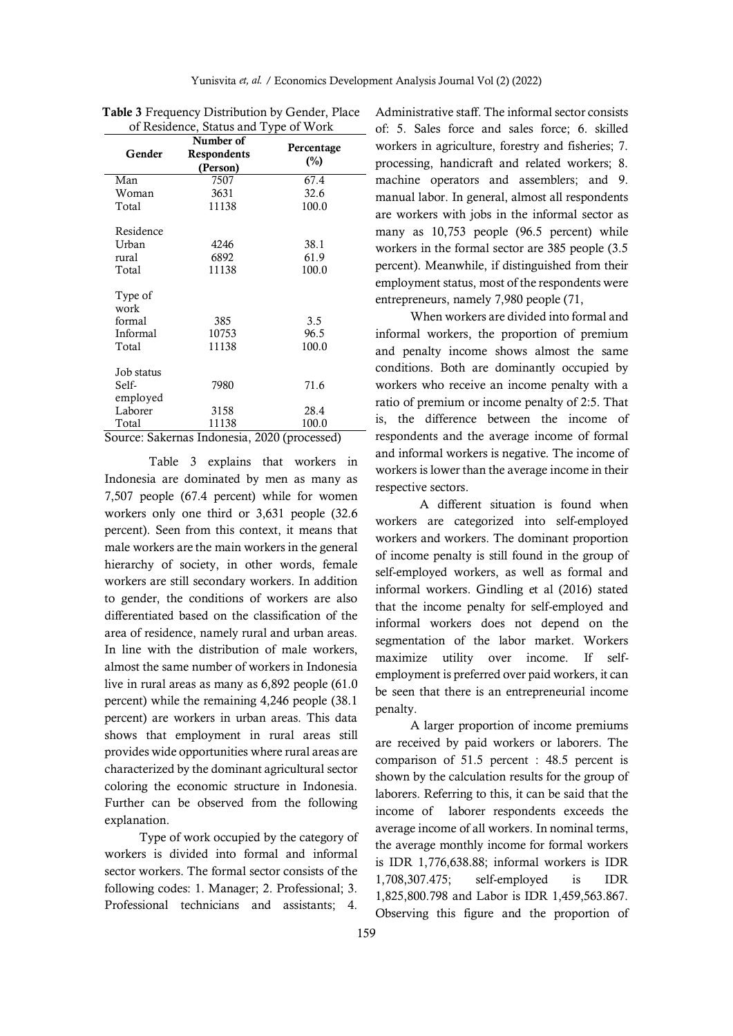| of Residence, Status and Type of Work |                                      |                       |  |
|---------------------------------------|--------------------------------------|-----------------------|--|
| Gender                                | Number of<br>Respondents<br>(Person) | Percentage<br>(%)     |  |
| Man                                   | 7507                                 | 67.4                  |  |
| Woman                                 | 3631                                 | 32.6                  |  |
| Total                                 | 11138                                | 100.0                 |  |
| Residence<br>Urban<br>rural<br>Total  | 4246<br>6892<br>11138                | 38.1<br>61.9<br>100.0 |  |
| Type of<br>work                       |                                      |                       |  |
| formal                                | 385                                  | 3.5                   |  |
| Informal                              | 10753                                | 96.5                  |  |
| Total                                 | 11138                                | 100.0                 |  |
| Job status                            |                                      |                       |  |
| Self-<br>employed                     | 7980                                 | 71.6                  |  |
| Laborer                               | 3158                                 | 28.4                  |  |
| Total                                 | 11138                                | 100.0                 |  |

| <b>Table 3</b> Frequency Distribution by Gender, Place |
|--------------------------------------------------------|
| of Residence, Status and Type of Work                  |

Source: Sakernas Indonesia, 2020 (processed)

Table 3 explains that workers in Indonesia are dominated by men as many as 7,507 people (67.4 percent) while for women workers only one third or 3,631 people (32.6 percent). Seen from this context, it means that male workers are the main workers in the general hierarchy of society, in other words, female workers are still secondary workers. In addition to gender, the conditions of workers are also differentiated based on the classification of the area of residence, namely rural and urban areas. In line with the distribution of male workers, almost the same number of workers in Indonesia live in rural areas as many as 6,892 people (61.0 percent) while the remaining 4,246 people (38.1 percent) are workers in urban areas. This data shows that employment in rural areas still provides wide opportunities where rural areas are characterized by the dominant agricultural sector coloring the economic structure in Indonesia. Further can be observed from the following explanation.

Type of work occupied by the category of workers is divided into formal and informal sector workers. The formal sector consists of the following codes: 1. Manager; 2. Professional; 3. Professional technicians and assistants; 4.

Administrative staff. The informal sector consists of: 5. Sales force and sales force; 6. skilled workers in agriculture, forestry and fisheries; 7. processing, handicraft and related workers; 8. machine operators and assemblers; and 9. manual labor. In general, almost all respondents are workers with jobs in the informal sector as many as 10,753 people (96.5 percent) while workers in the formal sector are 385 people (3.5 percent). Meanwhile, if distinguished from their employment status, most of the respondents were entrepreneurs, namely 7,980 people (71,

When workers are divided into formal and informal workers, the proportion of premium and penalty income shows almost the same conditions. Both are dominantly occupied by workers who receive an income penalty with a ratio of premium or income penalty of 2:5. That is, the difference between the income of respondents and the average income of formal and informal workers is negative. The income of workers is lower than the average income in their respective sectors.

A different situation is found when workers are categorized into self-employed workers and workers. The dominant proportion of income penalty is still found in the group of self-employed workers, as well as formal and informal workers. Gindling et al (2016) stated that the income penalty for self-employed and informal workers does not depend on the segmentation of the labor market. Workers maximize utility over income. If selfemployment is preferred over paid workers, it can be seen that there is an entrepreneurial income penalty.

A larger proportion of income premiums are received by paid workers or laborers. The comparison of 51.5 percent : 48.5 percent is shown by the calculation results for the group of laborers. Referring to this, it can be said that the income of laborer respondents exceeds the average income of all workers. In nominal terms, the average monthly income for formal workers is IDR 1,776,638.88; informal workers is IDR 1,708,307.475; self-employed is IDR 1,825,800.798 and Labor is IDR 1,459,563.867. Observing this figure and the proportion of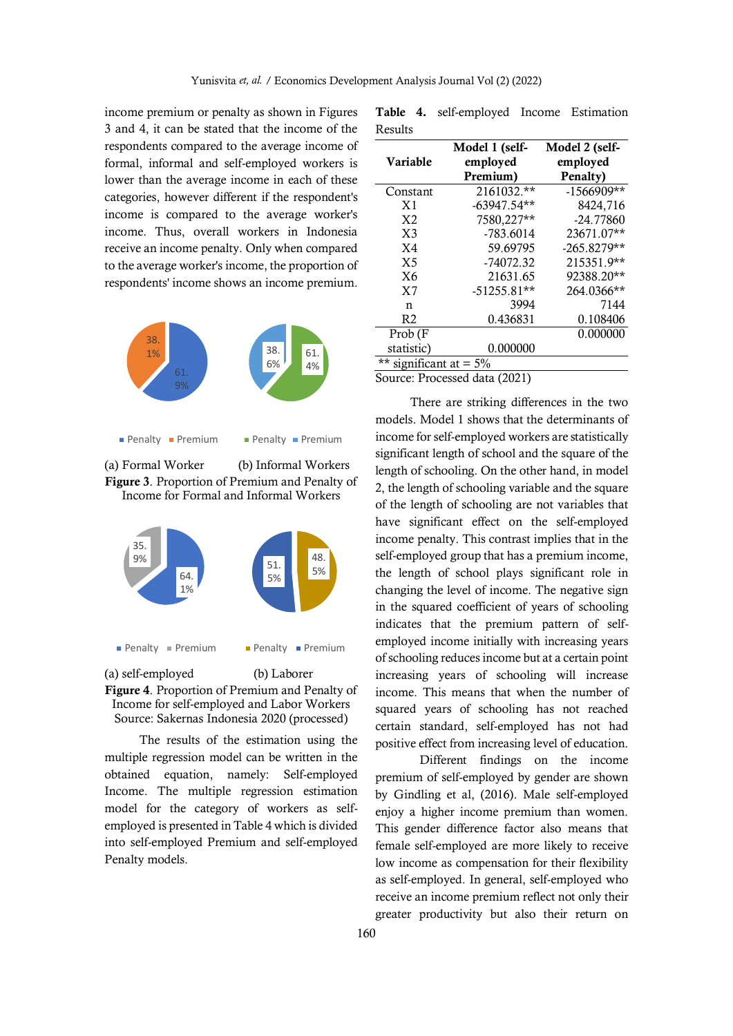income premium or penalty as shown in Figures 3 and 4, it can be stated that the income of the respondents compared to the average income of formal, informal and self-employed workers is lower than the average income in each of these categories, however different if the respondent's income is compared to the average worker's income. Thus, overall workers in Indonesia receive an income penalty. Only when compared to the average worker's income, the proportion of respondents' income shows an income premium.



Penalty Premium

 $\blacksquare$  Penalty  $\blacksquare$  Premium

(a) Formal Worker (b) Informal Workers **Figure 3**. Proportion of Premium and Penalty of Income for Formal and Informal Workers





(a) self-employed (b) Laborer **Penalty Premium** 

**Figure 4**. Proportion of Premium and Penalty of Income for self-employed and Labor Workers Source: Sakernas Indonesia 2020 (processed)

The results of the estimation using the multiple regression model can be written in the obtained equation, namely: Self-employed Income. The multiple regression estimation model for the category of workers as selfemployed is presented in Table 4 which is divided into self-employed Premium and self-employed Penalty models.

|         | Table 4. self-employed Income Estimation |  |
|---------|------------------------------------------|--|
| Results |                                          |  |

|                           | Model 1 (self-                | Model 2 (self- |
|---------------------------|-------------------------------|----------------|
| <b>Variable</b>           | employed                      | employed       |
|                           | Premium)                      | Penalty)       |
| Constant                  | 2161032.**                    | $-1566909**$   |
| X <sub>1</sub>            | $-63947.54**$                 | 8424,716       |
| X <sub>2</sub>            | 7580,227**                    | $-24.77860$    |
| X <sub>3</sub>            | $-783.6014$                   | 23671.07**     |
| X <sub>4</sub>            | 59.69795                      | $-265.8279**$  |
| X <sub>5</sub>            | $-74072.32$                   | 215351.9**     |
| X6                        | 21631.65                      | 92388.20**     |
| X <sub>7</sub>            | $-51255.81**$                 | 264.0366**     |
| n                         | 3994                          | 7144           |
| R <sub>2</sub>            | 0.436831                      | 0.108406       |
| Prob (F                   |                               | 0.000000       |
| statistic)                | 0.000000                      |                |
| ** significant at $= 5\%$ |                               |                |
|                           | Source: Processed data (2021) |                |

Source: Processed data (2021)

There are striking differences in the two models. Model 1 shows that the determinants of income for self-employed workers are statistically significant length of school and the square of the length of schooling. On the other hand, in model 2, the length of schooling variable and the square of the length of schooling are not variables that have significant effect on the self-employed income penalty. This contrast implies that in the self-employed group that has a premium income, the length of school plays significant role in changing the level of income. The negative sign in the squared coefficient of years of schooling indicates that the premium pattern of selfemployed income initially with increasing years of schooling reduces income but at a certain point increasing years of schooling will increase income. This means that when the number of squared years of schooling has not reached certain standard, self-employed has not had positive effect from increasing level of education.

Different findings on the income premium of self-employed by gender are shown by Gindling et al, (2016). Male self-employed enjoy a higher income premium than women. This gender difference factor also means that female self-employed are more likely to receive low income as compensation for their flexibility as self-employed. In general, self-employed who receive an income premium reflect not only their greater productivity but also their return on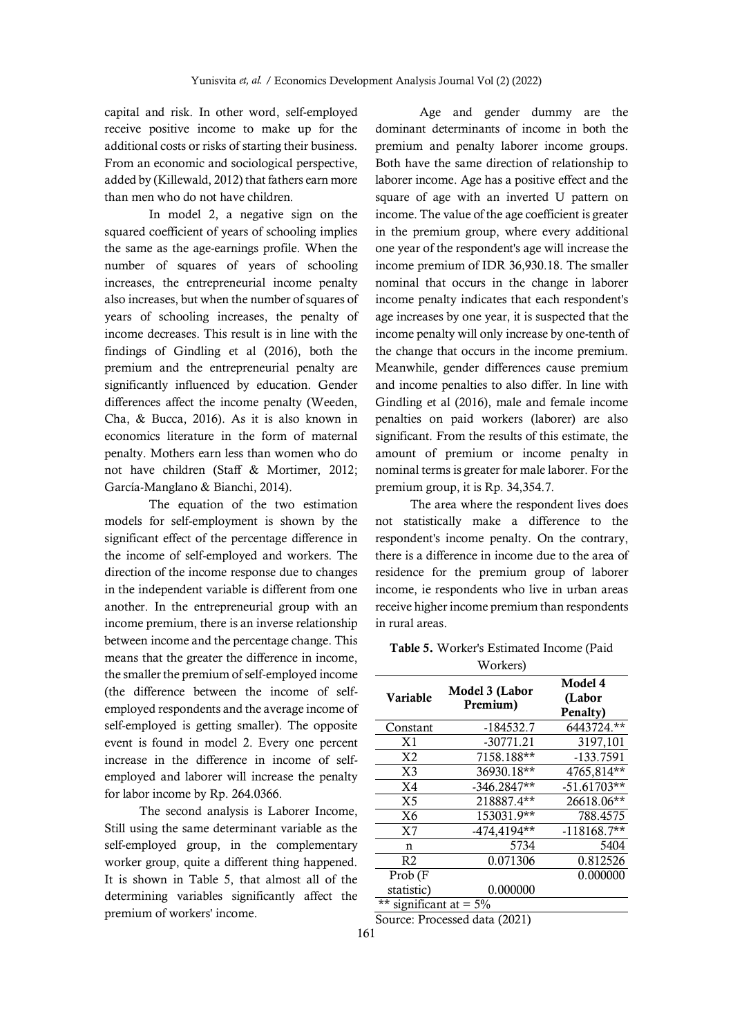capital and risk. In other word, self-employed receive positive income to make up for the additional costs or risks of starting their business. From an economic and sociological perspective, added by (Killewald, 2012) that fathers earn more than men who do not have children.

In model 2, a negative sign on the squared coefficient of years of schooling implies the same as the age-earnings profile. When the number of squares of years of schooling increases, the entrepreneurial income penalty also increases, but when the number of squares of years of schooling increases, the penalty of income decreases. This result is in line with the findings of Gindling et al (2016), both the premium and the entrepreneurial penalty are significantly influenced by education. Gender differences affect the income penalty (Weeden, Cha, & Bucca, 2016). As it is also known in economics literature in the form of maternal penalty. Mothers earn less than women who do not have children (Staff & Mortimer, 2012; García-Manglano & Bianchi, 2014).

The equation of the two estimation models for self-employment is shown by the significant effect of the percentage difference in the income of self-employed and workers. The direction of the income response due to changes in the independent variable is different from one another. In the entrepreneurial group with an income premium, there is an inverse relationship between income and the percentage change. This means that the greater the difference in income, the smaller the premium of self-employed income (the difference between the income of selfemployed respondents and the average income of self-employed is getting smaller). The opposite event is found in model 2. Every one percent increase in the difference in income of selfemployed and laborer will increase the penalty for labor income by Rp. 264.0366.

The second analysis is Laborer Income, Still using the same determinant variable as the self-employed group, in the complementary worker group, quite a different thing happened. It is shown in Table 5, that almost all of the determining variables significantly affect the premium of workers' income.

Age and gender dummy are the dominant determinants of income in both the premium and penalty laborer income groups. Both have the same direction of relationship to laborer income. Age has a positive effect and the square of age with an inverted U pattern on income. The value of the age coefficient is greater in the premium group, where every additional one year of the respondent's age will increase the income premium of IDR 36,930.18. The smaller nominal that occurs in the change in laborer income penalty indicates that each respondent's age increases by one year, it is suspected that the income penalty will only increase by one-tenth of the change that occurs in the income premium. Meanwhile, gender differences cause premium and income penalties to also differ. In line with Gindling et al (2016), male and female income penalties on paid workers (laborer) are also significant. From the results of this estimate, the amount of premium or income penalty in nominal terms is greater for male laborer. For the premium group, it is Rp. 34,354.7.

The area where the respondent lives does not statistically make a difference to the respondent's income penalty. On the contrary, there is a difference in income due to the area of residence for the premium group of laborer income, ie respondents who live in urban areas receive higher income premium than respondents in rural areas.

**Table 5.** Worker's Estimated Income (Paid Workers)

|                           | $\mathbf{v}$ $\mathbf{v}$ uncless |                               |
|---------------------------|-----------------------------------|-------------------------------|
| <b>Variable</b>           | Model 3 (Labor<br>Premium)        | Model 4<br>(Labor<br>Penalty) |
| Constant                  | $-184532.7$                       | 6443724.**                    |
| X <sub>1</sub>            | $-30771.21$                       | 3197,101                      |
| X <sub>2</sub>            | 7158.188**                        | $-133.7591$                   |
| X <sub>3</sub>            | 36930.18**                        | 4765,814**                    |
| X <sub>4</sub>            | $-346.2847**$                     | $-51.61703**$                 |
| X <sub>5</sub>            | $218887.\overline{4**}$           | 26618.06**                    |
| X6                        | $153031.9**$                      | 788.4575                      |
| X <sub>7</sub>            | $-474,4194**$                     | $-118168.7**$                 |
| n                         | 5734                              | 5404                          |
| R <sub>2</sub>            | 0.071306                          | 0.812526                      |
| Prob (F                   |                                   | 0.000000                      |
| statistic)                | 0.000000                          |                               |
| ** significant at = $5\%$ |                                   |                               |
|                           |                                   |                               |

Source: Processed data (2021)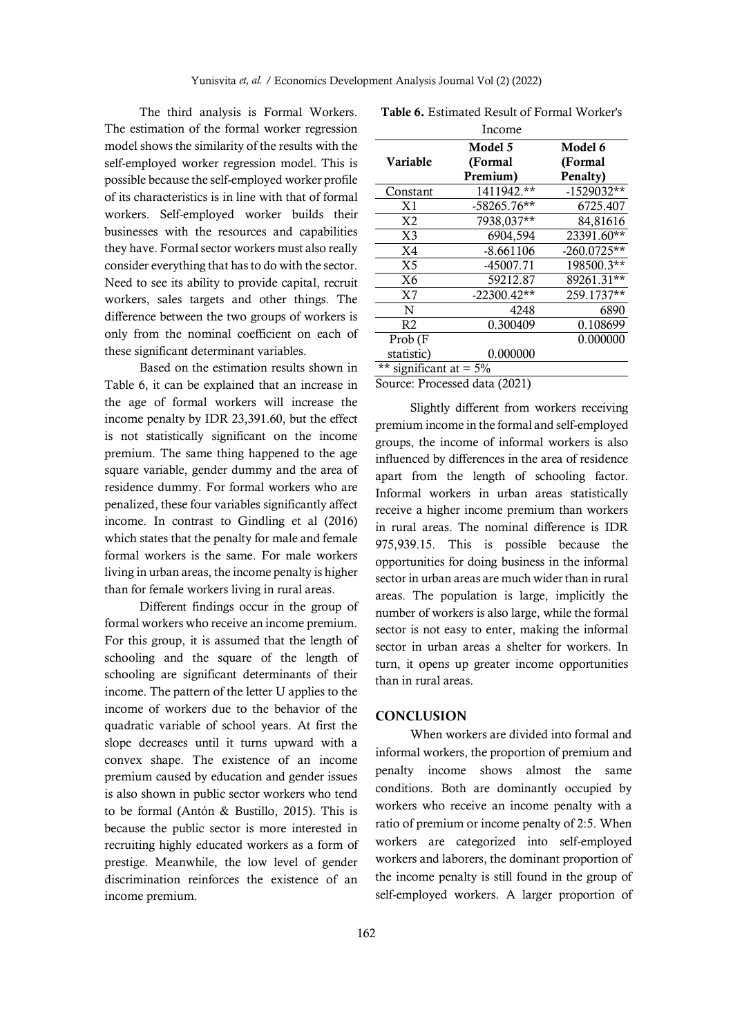The third analysis is Formal Workers. The estimation of the formal worker regression model shows the similarity of the results with the self-employed worker regression model. This is possible because the self-employed worker profile of its characteristics is in line with that of formal workers. Self-employed worker builds their businesses with the resources and capabilities they have. Formal sector workers must also really consider everything that has to do with the sector. Need to see its ability to provide capital, recruit workers, sales targets and other things. The difference between the two groups of workers is only from the nominal coefficient on each of these significant determinant variables.

Based on the estimation results shown in Table 6, it can be explained that an increase in the age of formal workers will increase the income penalty by IDR 23,391.60, but the effect is not statistically significant on the income premium. The same thing happened to the age square variable, gender dummy and the area of residence dummy. For formal workers who are penalized, these four variables significantly affect income. In contrast to Gindling et al (2016) which states that the penalty for male and female formal workers is the same. For male workers living in urban areas, the income penalty is higher than for female workers living in rural areas.

Different findings occur in the group of formal workers who receive an income premium. For this group, it is assumed that the length of schooling and the square of the length of schooling are significant determinants of their income. The pattern of the letter U applies to the income of workers due to the behavior of the quadratic variable of school years. At first the slope decreases until it turns upward with a convex shape. The existence of an income premium caused by education and gender issues is also shown in public sector workers who tend to be formal (Antón & Bustillo, 2015). This is because the public sector is more interested in recruiting highly educated workers as a form of prestige. Meanwhile, the low level of gender discrimination reinforces the existence of an income premium.

|                           | Income                        |               |
|---------------------------|-------------------------------|---------------|
|                           | Model 5                       | Model 6       |
| Variable                  | (Formal                       | (Formal       |
|                           | Premium)                      | Penalty)      |
| Constant                  | 1411942.**                    | $-1529032**$  |
| X <sub>1</sub>            | $-58265.76**$                 | 6725.407      |
| X <sub>2</sub>            | 7938,037**                    | 84,81616      |
| X <sub>3</sub>            | 6904,594                      | 23391.60**    |
| X <sub>4</sub>            | $-8.661106$                   | $-260.0725**$ |
| X <sub>5</sub>            | -45007.71                     | 198500.3**    |
| X6                        | 59212.87                      | 89261.31**    |
| X <sub>7</sub>            | $-22300.42**$                 | 259.1737**    |
| N                         | 4248                          | 6890          |
| R <sub>2</sub>            | 0.300409                      | 0.108699      |
| Prob (F                   |                               | 0.000000      |
| statistic)                | 0.000000                      |               |
| ** significant at = $5\%$ |                               |               |
|                           | Source: Processed data (2021) |               |

**Table 6.** Estimated Result of Formal Worker's

Slightly different from workers receiving premium income in the formal and self-employed groups, the income of informal workers is also influenced by differences in the area of residence apart from the length of schooling factor. Informal workers in urban areas statistically receive a higher income premium than workers in rural areas. The nominal difference is IDR 975,939.15. This is possible because the opportunities for doing business in the informal sector in urban areas are much wider than in rural areas. The population is large, implicitly the number of workers is also large, while the formal sector is not easy to enter, making the informal sector in urban areas a shelter for workers. In turn, it opens up greater income opportunities than in rural areas.

#### **CONCLUSION**

When workers are divided into formal and informal workers, the proportion of premium and penalty income shows almost the same conditions. Both are dominantly occupied by workers who receive an income penalty with a ratio of premium or income penalty of 2:5. When workers are categorized into self-employed workers and laborers, the dominant proportion of the income penalty is still found in the group of self-employed workers. A larger proportion of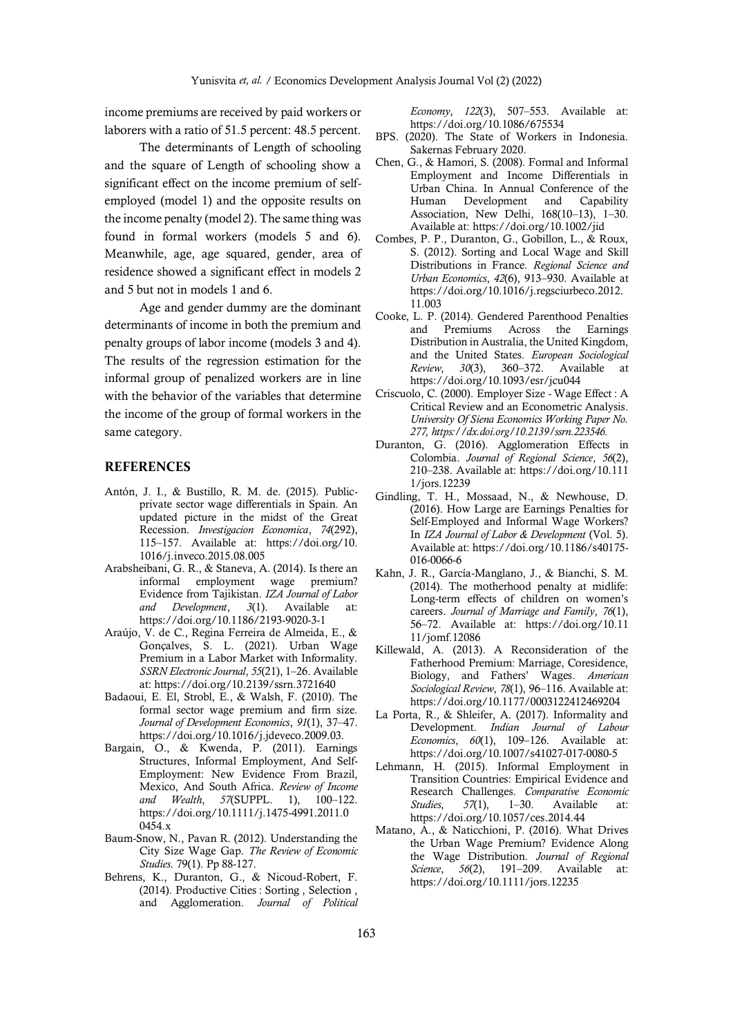income premiums are received by paid workers or laborers with a ratio of 51.5 percent: 48.5 percent.

The determinants of Length of schooling and the square of Length of schooling show a significant effect on the income premium of selfemployed (model 1) and the opposite results on the income penalty (model 2). The same thing was found in formal workers (models 5 and 6). Meanwhile, age, age squared, gender, area of residence showed a significant effect in models 2 and 5 but not in models 1 and 6.

Age and gender dummy are the dominant determinants of income in both the premium and penalty groups of labor income (models 3 and 4). The results of the regression estimation for the informal group of penalized workers are in line with the behavior of the variables that determine the income of the group of formal workers in the same category.

### **REFERENCES**

- Antón, J. I., & Bustillo, R. M. de. (2015). Publicprivate sector wage differentials in Spain. An updated picture in the midst of the Great Recession. *Investigacion Economica*, *74*(292), 115–157. Available at: https://doi.org/10. 1016/j.inveco.2015.08.005
- Arabsheibani, G. R., & Staneva, A. (2014). Is there an informal employment wage premium? Evidence from Tajikistan. *IZA Journal of Labor and Development*, *3*(1). Available at: https://doi.org/10.1186/2193-9020-3-1
- Araújo, V. de C., Regina Ferreira de Almeida, E., & Gonçalves, S. L. (2021). Urban Wage Premium in a Labor Market with Informality. *SSRN Electronic Journal*, *55*(21), 1–26. Available at: https://doi.org/10.2139/ssrn.3721640
- Badaoui, E. El, Strobl, E., & Walsh, F. (2010). The formal sector wage premium and firm size. *Journal of Development Economics*, *91*(1), 37–47. https://doi.org/10.1016/j.jdeveco.2009.03.
- Bargain, O., & Kwenda, P. (2011). Earnings Structures, Informal Employment, And Self-Employment: New Evidence From Brazil, Mexico, And South Africa. *Review of Income and Wealth*, *57*(SUPPL. 1), 100–122. https://doi.org/10.1111/j.1475-4991.2011.0 0454.x
- Baum-Snow, N., Pavan R. (2012). Understanding the City Size Wage Gap. *The Review of Economic Studies*. 79(1). Pp 88-127.
- Behrens, K., Duranton, G., & Nicoud-Robert, F. (2014). Productive Cities : Sorting , Selection , and Agglomeration. *Journal of Political*

*Economy*, *122*(3), 507–553. Available at: https://doi.org/10.1086/675534

- BPS. (2020). The State of Workers in Indonesia. Sakernas February 2020.
- Chen, G., & Hamori, S. (2008). Formal and Informal Employment and Income Differentials in Urban China. In Annual Conference of the Human Development and Capability Association, New Delhi, 168(10–13), 1–30. Available at: https://doi.org/10.1002/jid
- Combes, P. P., Duranton, G., Gobillon, L., & Roux, S. (2012). Sorting and Local Wage and Skill Distributions in France. *Regional Science and Urban Economics*, *42*(6), 913–930. Available at https://doi.org/10.1016/j.regsciurbeco.2012. 11.003
- Cooke, L. P. (2014). Gendered Parenthood Penalties and Premiums Across the Earnings Distribution in Australia, the United Kingdom, and the United States. *European Sociological Review*, *30*(3), 360–372. Available at https://doi.org/10.1093/esr/jcu044
- Criscuolo, C. (2000). Employer Size Wage Effect : A Critical Review and an Econometric Analysis. *University Of Siena Economics Working Paper No. 277, https://dx.doi.org/10.2139/ssrn.223546.*
- Duranton, G. (2016). Agglomeration Effects in Colombia. *Journal of Regional Science*, *56*(2), 210–238. Available at: https://doi.org/10.111 1/jors.12239
- Gindling, T. H., Mossaad, N., & Newhouse, D. (2016). How Large are Earnings Penalties for Self-Employed and Informal Wage Workers? In *IZA Journal of Labor & Development* (Vol. 5). Available at: https://doi.org/10.1186/s40175- 016-0066-6
- Kahn, J. R., García-Manglano, J., & Bianchi, S. M. (2014). The motherhood penalty at midlife: Long-term effects of children on women's careers. *Journal of Marriage and Family*, *76*(1), 56–72. Available at: https://doi.org/10.11 11/jomf.12086
- Killewald, A. (2013). A Reconsideration of the Fatherhood Premium: Marriage, Coresidence, Biology, and Fathers' Wages. *American Sociological Review*, *78*(1), 96–116. Available at: https://doi.org/10.1177/0003122412469204
- La Porta, R., & Shleifer, A. (2017). Informality and Development. *Indian Journal of Labour Economics*, *60*(1), 109–126. Available at: https://doi.org/10.1007/s41027-017-0080-5
- Lehmann, H. (2015). Informal Employment in Transition Countries: Empirical Evidence and Research Challenges. *Comparative Economic Studies*, *57*(1), 1–30. Available at: https://doi.org/10.1057/ces.2014.44
- Matano, A., & Naticchioni, P. (2016). What Drives the Urban Wage Premium? Evidence Along the Wage Distribution. *Journal of Regional Science*, *56*(2), 191–209. Available at: https://doi.org/10.1111/jors.12235